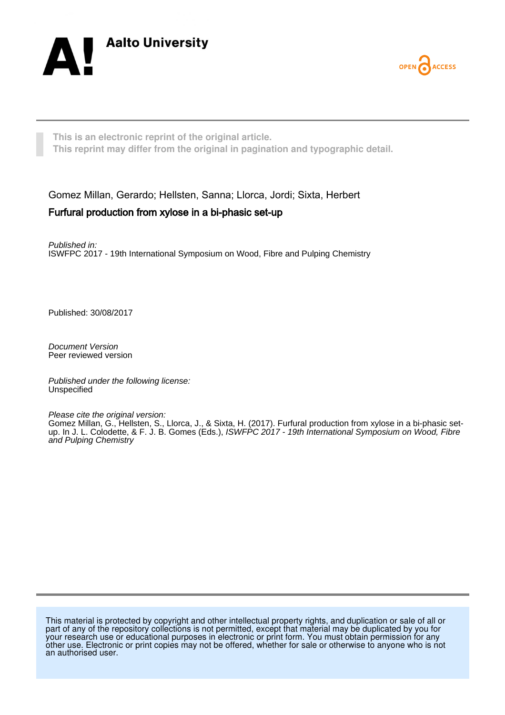



**This is an electronic reprint of the original article. This reprint may differ from the original in pagination and typographic detail.**

Gomez Millan, Gerardo; Hellsten, Sanna; Llorca, Jordi; Sixta, Herbert Furfural production from xylose in a bi-phasic set-up

Published in: ISWFPC 2017 - 19th International Symposium on Wood, Fibre and Pulping Chemistry

Published: 30/08/2017

Document Version Peer reviewed version

Published under the following license: Unspecified

Please cite the original version: Gomez Millan, G., Hellsten, S., Llorca, J., & Sixta, H. (2017). Furfural production from xylose in a bi-phasic setup. In J. L. Colodette, & F. J. B. Gomes (Eds.), ISWFPC 2017 - 19th International Symposium on Wood, Fibre and Pulping Chemistry

This material is protected by copyright and other intellectual property rights, and duplication or sale of all or part of any of the repository collections is not permitted, except that material may be duplicated by you for your research use or educational purposes in electronic or print form. You must obtain permission for any other use. Electronic or print copies may not be offered, whether for sale or otherwise to anyone who is not an authorised user.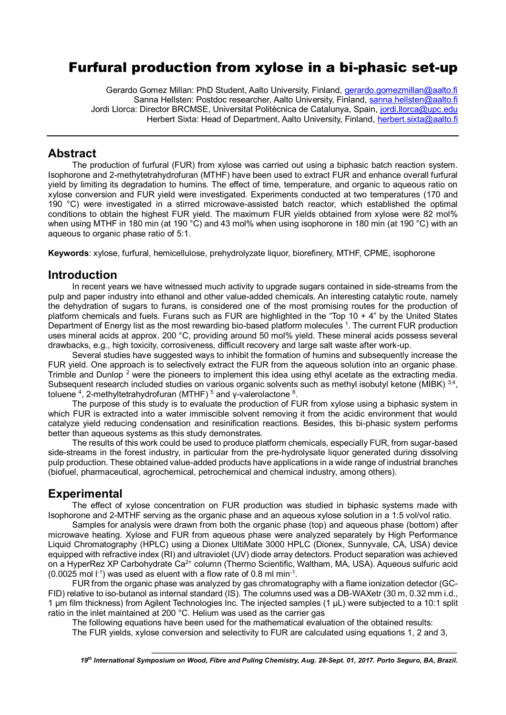# Furfural production from xylose in a bi-phasic set-up

Gerardo Gomez Millan: PhD Student, Aalto University, Finland, [gerardo.gomezmillan@aalto.fi](mailto:gerardo.gomezmillan@aalto.fi) Sanna Hellsten: Postdoc researcher, Aalto University, Finland, [sanna.hellsten@aalto.fi](mailto:sanna.hellsten@aalto.fi) Jordi Llorca: Director BRCMSE, Universitat Politècnica de Catalunya, Spain, [jordi.llorca@upc.edu](mailto:jordi.llorca@upc.edu) Herbert Sixta: Head of Department, Aalto University, Finland, [herbert.sixta@aalto.fi](mailto:herbert.sixta@aalto.fi)

### **Abstract**

The production of furfural (FUR) from xylose was carried out using a biphasic batch reaction system. Isophorone and 2-methytetrahydrofuran (MTHF) have been used to extract FUR and enhance overall furfural yield by limiting its degradation to humins. The effect of time, temperature, and organic to aqueous ratio on xylose conversion and FUR yield were investigated. Experiments conducted at two temperatures (170 and 190 °C) were investigated in a stirred microwave-assisted batch reactor, which established the optimal conditions to obtain the highest FUR yield. The maximum FUR yields obtained from xylose were 82 mol% when using MTHF in 180 min (at 190 °C) and 43 mol% when using isophorone in 180 min (at 190 °C) with an aqueous to organic phase ratio of 5:1.

**Keywords**: xylose, furfural, hemicellulose, prehydrolyzate liquor, biorefinery, MTHF, CPME, isophorone

## **Introduction**

In recent years we have witnessed much activity to upgrade sugars contained in side-streams from the pulp and paper industry into ethanol and other value-added chemicals. An interesting catalytic route, namely the dehydration of sugars to furans, is considered one of the most promising routes for the production of platform chemicals and fuels. Furans such as FUR are highlighted in the "Top 10 + 4" by the United States Department of Energy list as the most rewarding bio-based platform molecules <sup>1</sup>. The current FUR production uses mineral acids at approx. 200 °C, providing around 50 mol% yield. These mineral acids possess several drawbacks, e.g., high toxicity, corrosiveness, difficult recovery and large salt waste after work-up.

Several studies have suggested ways to inhibit the formation of humins and subsequently increase the FUR yield. One approach is to selectively extract the FUR from the aqueous solution into an organic phase. Trimble and Dunlop<sup>2</sup> were the pioneers to implement this idea using ethyl acetate as the extracting media. Subsequent research included studies on various organic solvents such as methyl isobutyl ketone (MIBK)  $^{3,4}$ , toluene<sup>4</sup>, 2-methyltetrahydrofuran (MTHF)<sup>5</sup> and γ-valerolactone<sup>6</sup>.

The purpose of this study is to evaluate the production of FUR from xylose using a biphasic system in which FUR is extracted into a water immiscible solvent removing it from the acidic environment that would catalyze yield reducing condensation and resinification reactions. Besides, this bi-phasic system performs better than aqueous systems as this study demonstrates.

The results of this work could be used to produce platform chemicals, especially FUR, from sugar-based side-streams in the forest industry, in particular from the pre-hydrolysate liquor generated during dissolving pulp production. These obtained value-added products have applications in a wide range of industrial branches (biofuel, pharmaceutical, agrochemical, petrochemical and chemical industry, among others).

# **Experimental**

The effect of xylose concentration on FUR production was studied in biphasic systems made with Isophorone and 2-MTHF serving as the organic phase and an aqueous xylose solution in a 1:5 vol/vol ratio.

Samples for analysis were drawn from both the organic phase (top) and aqueous phase (bottom) after microwave heating. Xylose and FUR from aqueous phase were analyzed separately by High Performance Liquid Chromatography (HPLC) using a Dionex UltiMate 3000 HPLC (Dionex, Sunnyvale, CA, USA) device equipped with refractive index (RI) and ultraviolet (UV) diode array detectors. Product separation was achieved on a HyperRez XP Carbohydrate Ca<sup>2+</sup> column (Thermo Scientific, Waltham, MA, USA). Aqueous sulfuric acid  $(0.0025 \text{ mol } t^{-1})$  was used as eluent with a flow rate of 0.8 ml min<sup>-1</sup>.

FUR from the organic phase was analyzed by gas chromatography with a flame ionization detector (GC-FID) relative to iso-butanol as internal standard (IS). The columns used was a DB-WAXetr (30 m, 0.32 mm i.d., 1 µm film thickness) from Agilent Technologies Inc. The injected samples (1 µL) were subjected to a 10:1 split ratio in the inlet maintained at 200 °C. Helium was used as the carrier gas

The following equations have been used for the mathematical evaluation of the obtained results:

The FUR yields, xylose conversion and selectivity to FUR are calculated using equations 1, 2 and 3,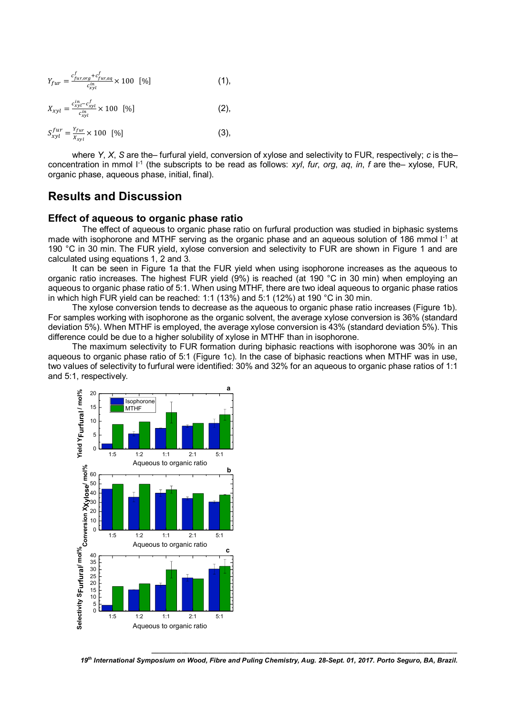$$
Y_{fur} = \frac{c_{fur, org}^{f} + c_{fur, aq}^{f}}{c_{xyl}^{in}} \times 100 \quad [%]
$$
 (1),

$$
X_{xyl} = \frac{c_{xyl}^{in} - c_{xyl}^f}{c_{xyl}^{in}} \times 100 \quad [\%]
$$
 (2),

$$
S_{xyl}^{fur} = \frac{Y_{fur}}{X_{xyl}} \times 100 \, [96] \tag{3}
$$

where *Y*, *X*, *S* are the– furfural yield, conversion of xylose and selectivity to FUR, respectively; *c* is the– concentration in mmol  $I<sup>-1</sup>$  (the subscripts to be read as follows: *xyl*, *fur*, *org*, *aq*, *in*, *f* are the– xylose, FUR, organic phase, aqueous phase, initial, final).

### **Results and Discussion**

#### **Effect of aqueous to organic phase ratio**

The effect of aqueous to organic phase ratio on furfural production was studied in biphasic systems made with isophorone and MTHF serving as the organic phase and an aqueous solution of 186 mmol I<sup>-1</sup> at 190 °C in 30 min. The FUR yield, xylose conversion and selectivity to FUR are shown in Figure 1 and are calculated using equations 1, 2 and 3.

It can be seen in Figure 1a that the FUR yield when using isophorone increases as the aqueous to organic ratio increases. The highest FUR yield (9%) is reached (at 190 °C in 30 min) when employing an aqueous to organic phase ratio of 5:1. When using MTHF, there are two ideal aqueous to organic phase ratios in which high FUR yield can be reached: 1:1 (13%) and 5:1 (12%) at 190 °C in 30 min.

The xylose conversion tends to decrease as the aqueous to organic phase ratio increases (Figure 1b). For samples working with isophorone as the organic solvent, the average xylose conversion is 36% (standard deviation 5%). When MTHF is employed, the average xylose conversion is 43% (standard deviation 5%). This difference could be due to a higher solubility of xylose in MTHF than in isophorone.

The maximum selectivity to FUR formation during biphasic reactions with isophorone was 30% in an aqueous to organic phase ratio of 5:1 (Figure 1c). In the case of biphasic reactions when MTHF was in use, two values of selectivity to furfural were identified: 30% and 32% for an aqueous to organic phase ratios of 1:1 and 5:1, respectively.



*19th International Symposium on Wood, Fibre and Puling Chemistry, Aug. 28-Sept. 01, 2017. Porto Seguro, BA, Brazil.*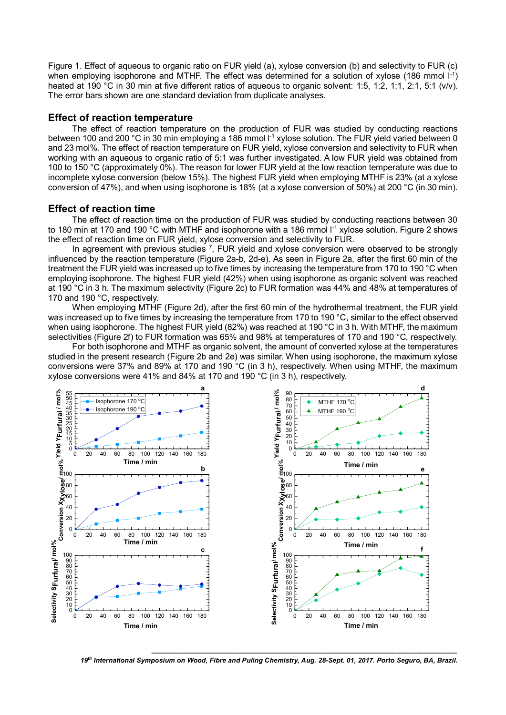Figure 1. Effect of aqueous to organic ratio on FUR yield (a), xylose conversion (b) and selectivity to FUR (c) when employing isophorone and MTHF. The effect was determined for a solution of xylose (186 mmol  $I^{-1}$ ) heated at 190 °C in 30 min at five different ratios of aqueous to organic solvent: 1:5, 1:2, 1:1, 2:1, 5:1 (v/v). The error bars shown are one standard deviation from duplicate analyses.

#### **Effect of reaction temperature**

The effect of reaction temperature on the production of FUR was studied by conducting reactions between 100 and 200 °C in 30 min employing a 186 mmol l<sup>-1</sup> xylose solution. The FUR yield varied between 0 and 23 mol%. The effect of reaction temperature on FUR yield, xylose conversion and selectivity to FUR when working with an aqueous to organic ratio of 5:1 was further investigated. A low FUR yield was obtained from 100 to 150 °C (approximately 0%). The reason for lower FUR yield at the low reaction temperature was due to incomplete xylose conversion (below 15%). The highest FUR yield when employing MTHF is 23% (at a xylose conversion of 47%), and when using isophorone is 18% (at a xylose conversion of 50%) at 200 °C (in 30 min).

#### **Effect of reaction time**

The effect of reaction time on the production of FUR was studied by conducting reactions between 30 to 180 min at 170 and 190 °C with MTHF and isophorone with a 186 mmol I<sup>-1</sup> xylose solution. Figure 2 shows the effect of reaction time on FUR yield, xylose conversion and selectivity to FUR.

In agreement with previous studies  $^7$ , FUR yield and xylose conversion were observed to be strongly influenced by the reaction temperature (Figure 2a-b, 2d-e). As seen in Figure 2a, after the first 60 min of the treatment the FUR yield was increased up to five times by increasing the temperature from 170 to 190 °C when employing isophorone. The highest FUR yield (42%) when using isophorone as organic solvent was reached at 190 °C in 3 h. The maximum selectivity (Figure 2c) to FUR formation was 44% and 48% at temperatures of 170 and 190 °C, respectively.

When employing MTHF (Figure 2d), after the first 60 min of the hydrothermal treatment, the FUR yield was increased up to five times by increasing the temperature from 170 to 190 °C, similar to the effect observed when using isophorone. The highest FUR yield (82%) was reached at 190 °C in 3 h. With MTHF, the maximum selectivities (Figure 2f) to FUR formation was 65% and 98% at temperatures of 170 and 190 °C, respectively.

For both isophorone and MTHF as organic solvent, the amount of converted xylose at the temperatures studied in the present research (Figure 2b and 2e) was similar. When using isophorone, the maximum xylose conversions were 37% and 89% at 170 and 190 °C (in 3 h), respectively. When using MTHF, the maximum xylose conversions were 41% and 84% at 170 and 190 °C (in 3 h), respectively.



*19th International Symposium on Wood, Fibre and Puling Chemistry, Aug. 28-Sept. 01, 2017. Porto Seguro, BA, Brazil.*